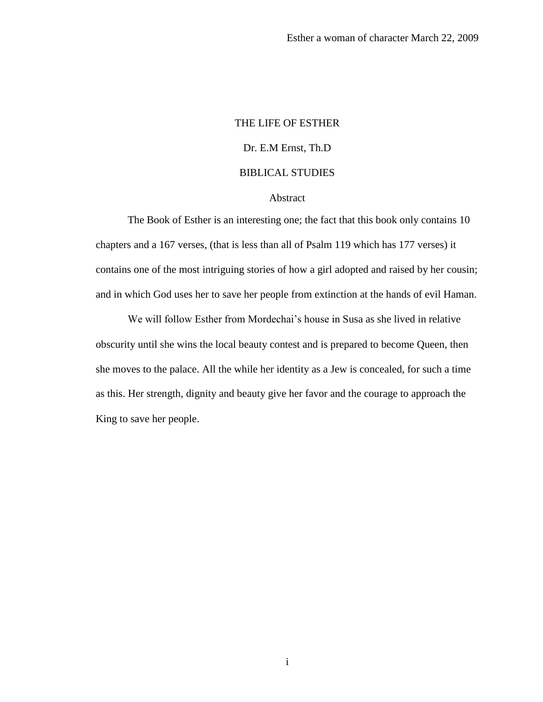# THE LIFE OF ESTHER Dr. E.M Ernst, Th.D BIBLICAL STUDIES

# Abstract

The Book of Esther is an interesting one; the fact that this book only contains 10 chapters and a 167 verses, (that is less than all of Psalm 119 which has 177 verses) it contains one of the most intriguing stories of how a girl adopted and raised by her cousin; and in which God uses her to save her people from extinction at the hands of evil Haman.

We will follow Esther from Mordechai's house in Susa as she lived in relative obscurity until she wins the local beauty contest and is prepared to become Queen, then she moves to the palace. All the while her identity as a Jew is concealed, for such a time as this. Her strength, dignity and beauty give her favor and the courage to approach the King to save her people.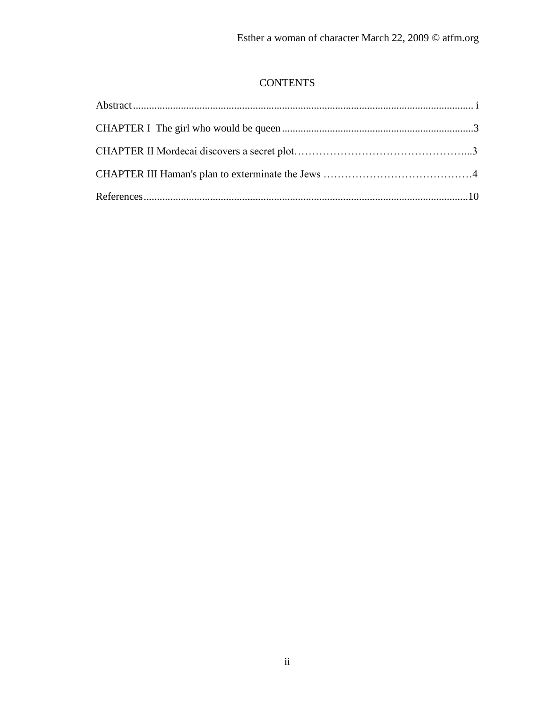# **CONTENTS**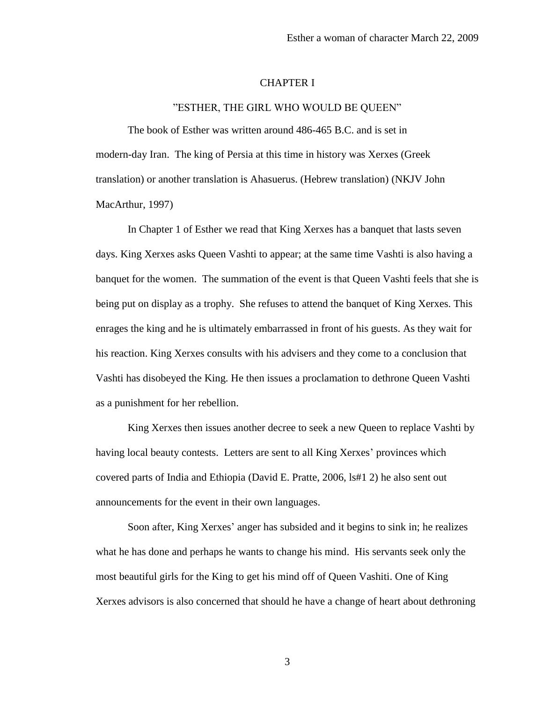### CHAPTER I

#### "ESTHER, THE GIRL WHO WOULD BE QUEEN"

The book of Esther was written around 486-465 B.C. and is set in modern-day Iran. The king of Persia at this time in history was Xerxes (Greek translation) or another translation is Ahasuerus. (Hebrew translation) (NKJV John MacArthur, 1997)

In Chapter 1 of Esther we read that King Xerxes has a banquet that lasts seven days. King Xerxes asks Queen Vashti to appear; at the same time Vashti is also having a banquet for the women. The summation of the event is that Queen Vashti feels that she is being put on display as a trophy. She refuses to attend the banquet of King Xerxes. This enrages the king and he is ultimately embarrassed in front of his guests. As they wait for his reaction. King Xerxes consults with his advisers and they come to a conclusion that Vashti has disobeyed the King. He then issues a proclamation to dethrone Queen Vashti as a punishment for her rebellion.

King Xerxes then issues another decree to seek a new Queen to replace Vashti by having local beauty contests. Letters are sent to all King Xerxes' provinces which covered parts of India and Ethiopia (David E. Pratte, 2006, ls#1 2) he also sent out announcements for the event in their own languages.

Soon after, King Xerxes' anger has subsided and it begins to sink in; he realizes what he has done and perhaps he wants to change his mind. His servants seek only the most beautiful girls for the King to get his mind off of Queen Vashiti. One of King Xerxes advisors is also concerned that should he have a change of heart about dethroning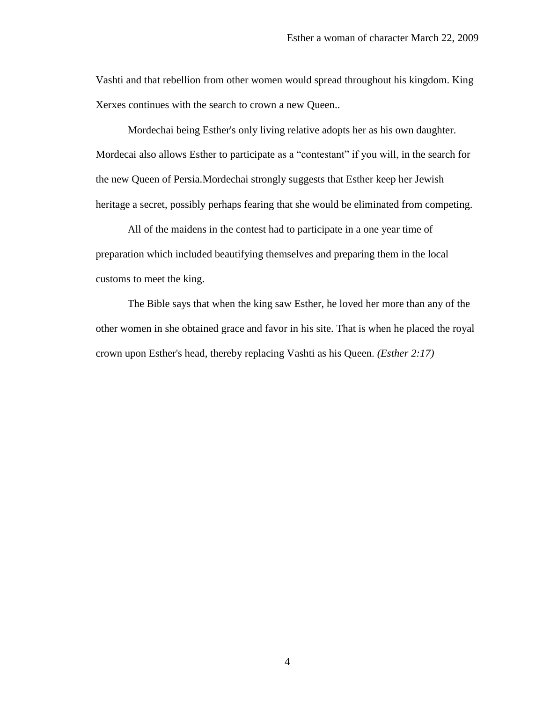Vashti and that rebellion from other women would spread throughout his kingdom. King Xerxes continues with the search to crown a new Queen..

Mordechai being Esther's only living relative adopts her as his own daughter. Mordecai also allows Esther to participate as a "contestant" if you will, in the search for the new Queen of Persia.Mordechai strongly suggests that Esther keep her Jewish heritage a secret, possibly perhaps fearing that she would be eliminated from competing.

All of the maidens in the contest had to participate in a one year time of preparation which included beautifying themselves and preparing them in the local customs to meet the king.

The Bible says that when the king saw Esther, he loved her more than any of the other women in she obtained grace and favor in his site. That is when he placed the royal crown upon Esther's head, thereby replacing Vashti as his Queen. *(Esther 2:17)*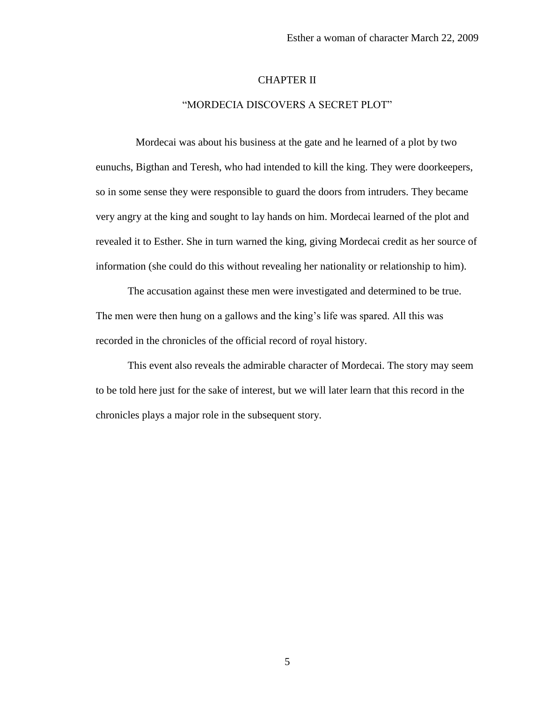#### CHAPTER II

### "MORDECIA DISCOVERS A SECRET PLOT"

 Mordecai was about his business at the gate and he learned of a plot by two eunuchs, Bigthan and Teresh, who had intended to kill the king. They were doorkeepers, so in some sense they were responsible to guard the doors from intruders. They became very angry at the king and sought to lay hands on him. Mordecai learned of the plot and revealed it to Esther. She in turn warned the king, giving Mordecai credit as her source of information (she could do this without revealing her nationality or relationship to him).

The accusation against these men were investigated and determined to be true. The men were then hung on a gallows and the king's life was spared. All this was recorded in the chronicles of the official record of royal history.

This event also reveals the admirable character of Mordecai. The story may seem to be told here just for the sake of interest, but we will later learn that this record in the chronicles plays a major role in the subsequent story.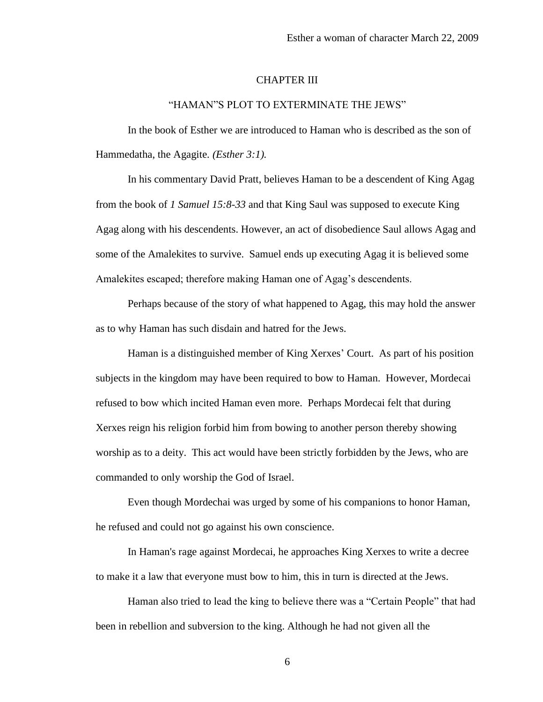## CHAPTER III

#### "HAMAN"S PLOT TO EXTERMINATE THE JEWS"

In the book of Esther we are introduced to Haman who is described as the son of Hammedatha, the Agagite*. (Esther 3:1).*

In his commentary David Pratt, believes Haman to be a descendent of King Agag from the book of *1 Samuel 15:8-33* and that King Saul was supposed to execute King Agag along with his descendents. However, an act of disobedience Saul allows Agag and some of the Amalekites to survive. Samuel ends up executing Agag it is believed some Amalekites escaped; therefore making Haman one of Agag's descendents.

Perhaps because of the story of what happened to Agag, this may hold the answer as to why Haman has such disdain and hatred for the Jews.

Haman is a distinguished member of King Xerxes' Court. As part of his position subjects in the kingdom may have been required to bow to Haman. However, Mordecai refused to bow which incited Haman even more. Perhaps Mordecai felt that during Xerxes reign his religion forbid him from bowing to another person thereby showing worship as to a deity. This act would have been strictly forbidden by the Jews, who are commanded to only worship the God of Israel.

Even though Mordechai was urged by some of his companions to honor Haman, he refused and could not go against his own conscience.

In Haman's rage against Mordecai, he approaches King Xerxes to write a decree to make it a law that everyone must bow to him, this in turn is directed at the Jews.

Haman also tried to lead the king to believe there was a "Certain People" that had been in rebellion and subversion to the king. Although he had not given all the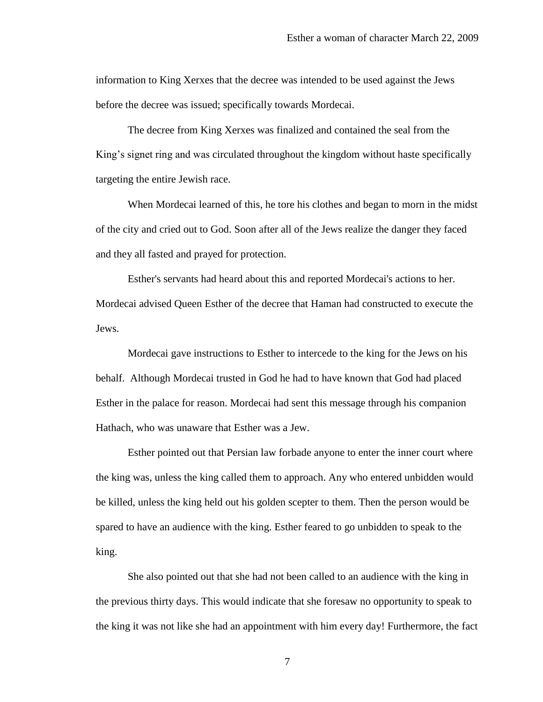information to King Xerxes that the decree was intended to be used against the Jews before the decree was issued; specifically towards Mordecai.

The decree from King Xerxes was finalized and contained the seal from the King's signet ring and was circulated throughout the kingdom without haste specifically targeting the entire Jewish race.

When Mordecai learned of this, he tore his clothes and began to morn in the midst of the city and cried out to God. Soon after all of the Jews realize the danger they faced and they all fasted and prayed for protection.

Esther's servants had heard about this and reported Mordecai's actions to her. Mordecai advised Queen Esther of the decree that Haman had constructed to execute the Jews.

Mordecai gave instructions to Esther to intercede to the king for the Jews on his behalf. Although Mordecai trusted in God he had to have known that God had placed Esther in the palace for reason. Mordecai had sent this message through his companion Hathach, who was unaware that Esther was a Jew.

Esther pointed out that Persian law forbade anyone to enter the inner court where the king was, unless the king called them to approach. Any who entered unbidden would be killed, unless the king held out his golden scepter to them. Then the person would be spared to have an audience with the king. Esther feared to go unbidden to speak to the king.

She also pointed out that she had not been called to an audience with the king in the previous thirty days. This would indicate that she foresaw no opportunity to speak to the king it was not like she had an appointment with him every day! Furthermore, the fact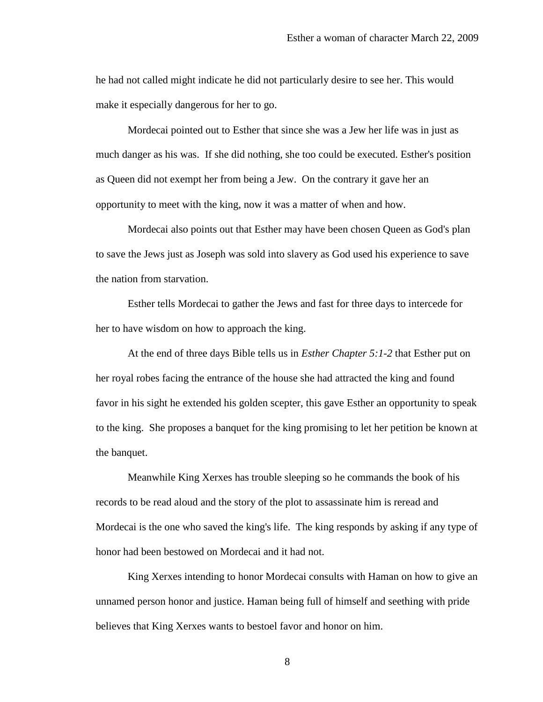he had not called might indicate he did not particularly desire to see her. This would make it especially dangerous for her to go.

Mordecai pointed out to Esther that since she was a Jew her life was in just as much danger as his was. If she did nothing, she too could be executed. Esther's position as Queen did not exempt her from being a Jew. On the contrary it gave her an opportunity to meet with the king, now it was a matter of when and how.

Mordecai also points out that Esther may have been chosen Queen as God's plan to save the Jews just as Joseph was sold into slavery as God used his experience to save the nation from starvation.

Esther tells Mordecai to gather the Jews and fast for three days to intercede for her to have wisdom on how to approach the king.

At the end of three days Bible tells us in *Esther Chapter 5:1-2* that Esther put on her royal robes facing the entrance of the house she had attracted the king and found favor in his sight he extended his golden scepter, this gave Esther an opportunity to speak to the king. She proposes a banquet for the king promising to let her petition be known at the banquet.

Meanwhile King Xerxes has trouble sleeping so he commands the book of his records to be read aloud and the story of the plot to assassinate him is reread and Mordecai is the one who saved the king's life. The king responds by asking if any type of honor had been bestowed on Mordecai and it had not.

King Xerxes intending to honor Mordecai consults with Haman on how to give an unnamed person honor and justice. Haman being full of himself and seething with pride believes that King Xerxes wants to bestoel favor and honor on him.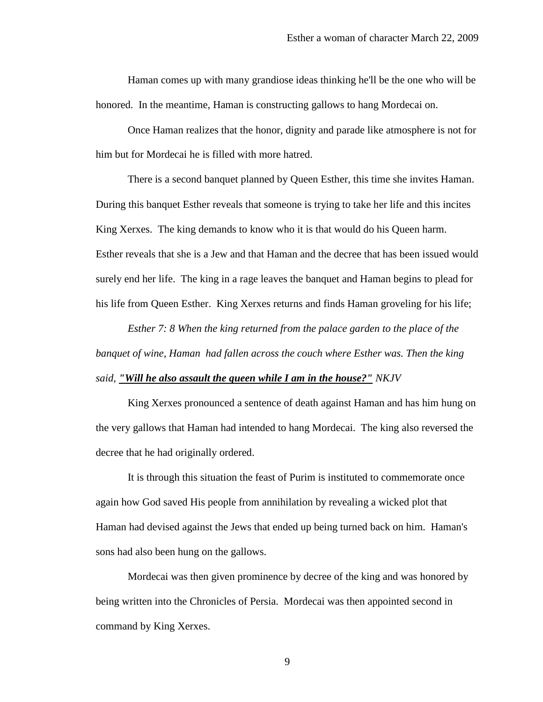Haman comes up with many grandiose ideas thinking he'll be the one who will be honored. In the meantime, Haman is constructing gallows to hang Mordecai on.

Once Haman realizes that the honor, dignity and parade like atmosphere is not for him but for Mordecai he is filled with more hatred.

There is a second banquet planned by Queen Esther, this time she invites Haman. During this banquet Esther reveals that someone is trying to take her life and this incites King Xerxes. The king demands to know who it is that would do his Queen harm. Esther reveals that she is a Jew and that Haman and the decree that has been issued would surely end her life. The king in a rage leaves the banquet and Haman begins to plead for his life from Queen Esther. King Xerxes returns and finds Haman groveling for his life;

*Esther 7: 8 When the king returned from the palace garden to the place of the banquet of wine, Haman had fallen across the couch where Esther was. Then the king said, "Will he also assault the queen while I am in the house?" NKJV*

King Xerxes pronounced a sentence of death against Haman and has him hung on the very gallows that Haman had intended to hang Mordecai. The king also reversed the decree that he had originally ordered.

It is through this situation the feast of Purim is instituted to commemorate once again how God saved His people from annihilation by revealing a wicked plot that Haman had devised against the Jews that ended up being turned back on him. Haman's sons had also been hung on the gallows.

Mordecai was then given prominence by decree of the king and was honored by being written into the Chronicles of Persia. Mordecai was then appointed second in command by King Xerxes.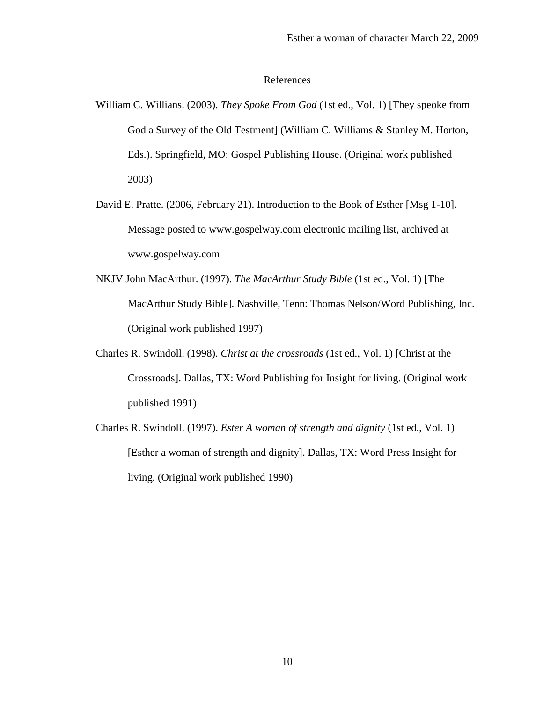#### References

- William C. Willians. (2003). *They Spoke From God* (1st ed., Vol. 1) [They speoke from God a Survey of the Old Testment] (William C. Williams & Stanley M. Horton, Eds.). Springfield, MO: Gospel Publishing House. (Original work published 2003)
- David E. Pratte. (2006, February 21). Introduction to the Book of Esther [Msg 1-10]. Message posted to www.gospelway.com electronic mailing list, archived at www.gospelway.com
- NKJV John MacArthur. (1997). *The MacArthur Study Bible* (1st ed., Vol. 1) [The MacArthur Study Bible]. Nashville, Tenn: Thomas Nelson/Word Publishing, Inc. (Original work published 1997)
- Charles R. Swindoll. (1998). *Christ at the crossroads* (1st ed., Vol. 1) [Christ at the Crossroads]. Dallas, TX: Word Publishing for Insight for living. (Original work published 1991)
- Charles R. Swindoll. (1997). *Ester A woman of strength and dignity* (1st ed., Vol. 1) [Esther a woman of strength and dignity]. Dallas, TX: Word Press Insight for living. (Original work published 1990)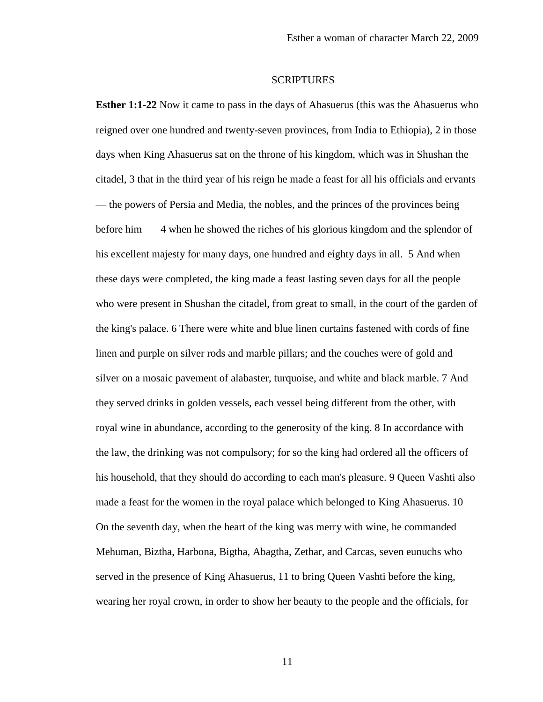#### **SCRIPTURES**

**Esther 1:1-22** Now it came to pass in the days of Ahasuerus (this was the Ahasuerus who reigned over one hundred and twenty-seven provinces, from India to Ethiopia), 2 in those days when King Ahasuerus sat on the throne of his kingdom, which was in Shushan the citadel, 3 that in the third year of his reign he made a feast for all his officials and ervants — the powers of Persia and Media, the nobles, and the princes of the provinces being before him — 4 when he showed the riches of his glorious kingdom and the splendor of his excellent majesty for many days, one hundred and eighty days in all. 5 And when these days were completed, the king made a feast lasting seven days for all the people who were present in Shushan the citadel, from great to small, in the court of the garden of the king's palace. 6 There were white and blue linen curtains fastened with cords of fine linen and purple on silver rods and marble pillars; and the couches were of gold and silver on a mosaic pavement of alabaster, turquoise, and white and black marble. 7 And they served drinks in golden vessels, each vessel being different from the other, with royal wine in abundance, according to the generosity of the king. 8 In accordance with the law, the drinking was not compulsory; for so the king had ordered all the officers of his household, that they should do according to each man's pleasure. 9 Queen Vashti also made a feast for the women in the royal palace which belonged to King Ahasuerus. 10 On the seventh day, when the heart of the king was merry with wine, he commanded Mehuman, Biztha, Harbona, Bigtha, Abagtha, Zethar, and Carcas, seven eunuchs who served in the presence of King Ahasuerus, 11 to bring Queen Vashti before the king, wearing her royal crown, in order to show her beauty to the people and the officials, for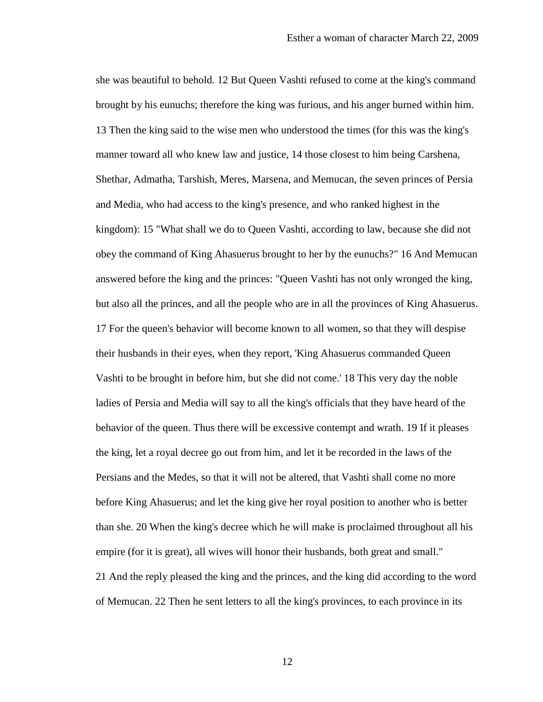she was beautiful to behold. 12 But Queen Vashti refused to come at the king's command brought by his eunuchs; therefore the king was furious, and his anger burned within him. 13 Then the king said to the wise men who understood the times (for this was the king's manner toward all who knew law and justice, 14 those closest to him being Carshena, Shethar, Admatha, Tarshish, Meres, Marsena, and Memucan, the seven princes of Persia and Media, who had access to the king's presence, and who ranked highest in the kingdom): 15 "What shall we do to Queen Vashti, according to law, because she did not obey the command of King Ahasuerus brought to her by the eunuchs?" 16 And Memucan answered before the king and the princes: "Queen Vashti has not only wronged the king, but also all the princes, and all the people who are in all the provinces of King Ahasuerus. 17 For the queen's behavior will become known to all women, so that they will despise their husbands in their eyes, when they report, 'King Ahasuerus commanded Queen Vashti to be brought in before him, but she did not come.' 18 This very day the noble ladies of Persia and Media will say to all the king's officials that they have heard of the behavior of the queen. Thus there will be excessive contempt and wrath. 19 If it pleases the king, let a royal decree go out from him, and let it be recorded in the laws of the Persians and the Medes, so that it will not be altered, that Vashti shall come no more before King Ahasuerus; and let the king give her royal position to another who is better than she. 20 When the king's decree which he will make is proclaimed throughout all his empire (for it is great), all wives will honor their husbands, both great and small." 21 And the reply pleased the king and the princes, and the king did according to the word of Memucan. 22 Then he sent letters to all the king's provinces, to each province in its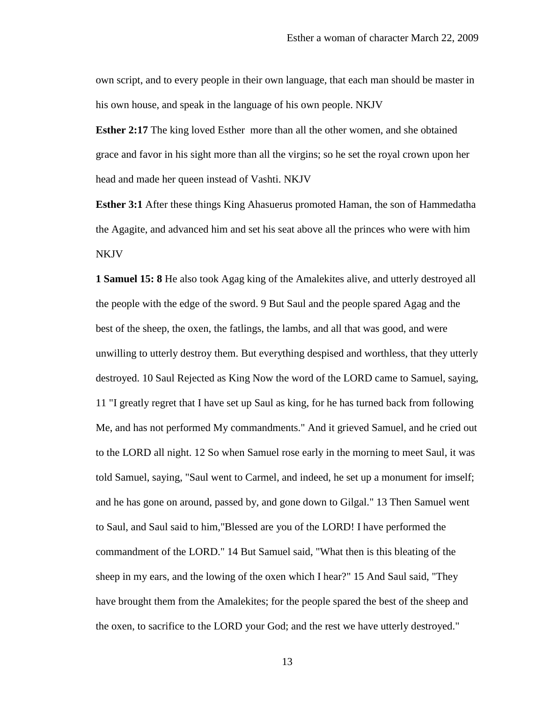own script, and to every people in their own language, that each man should be master in his own house, and speak in the language of his own people. NKJV

**Esther 2:17** The king loved Esther more than all the other women, and she obtained grace and favor in his sight more than all the virgins; so he set the royal crown upon her head and made her queen instead of Vashti. NKJV

**Esther 3:1** After these things King Ahasuerus promoted Haman, the son of Hammedatha the Agagite, and advanced him and set his seat above all the princes who were with him NKJV

**1 Samuel 15: 8** He also took Agag king of the Amalekites alive, and utterly destroyed all the people with the edge of the sword. 9 But Saul and the people spared Agag and the best of the sheep, the oxen, the fatlings, the lambs, and all that was good, and were unwilling to utterly destroy them. But everything despised and worthless, that they utterly destroyed. 10 Saul Rejected as King Now the word of the LORD came to Samuel, saying, 11 "I greatly regret that I have set up Saul as king, for he has turned back from following Me, and has not performed My commandments." And it grieved Samuel, and he cried out to the LORD all night. 12 So when Samuel rose early in the morning to meet Saul, it was told Samuel, saying, "Saul went to Carmel, and indeed, he set up a monument for imself; and he has gone on around, passed by, and gone down to Gilgal." 13 Then Samuel went to Saul, and Saul said to him,"Blessed are you of the LORD! I have performed the commandment of the LORD." 14 But Samuel said, "What then is this bleating of the sheep in my ears, and the lowing of the oxen which I hear?" 15 And Saul said, "They have brought them from the Amalekites; for the people spared the best of the sheep and the oxen, to sacrifice to the LORD your God; and the rest we have utterly destroyed."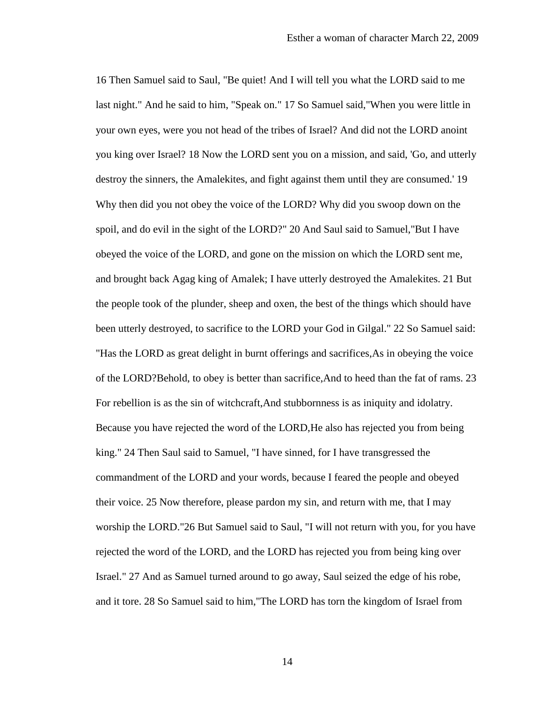16 Then Samuel said to Saul, "Be quiet! And I will tell you what the LORD said to me last night." And he said to him, "Speak on." 17 So Samuel said,"When you were little in your own eyes, were you not head of the tribes of Israel? And did not the LORD anoint you king over Israel? 18 Now the LORD sent you on a mission, and said, 'Go, and utterly destroy the sinners, the Amalekites, and fight against them until they are consumed.' 19 Why then did you not obey the voice of the LORD? Why did you swoop down on the spoil, and do evil in the sight of the LORD?" 20 And Saul said to Samuel,"But I have obeyed the voice of the LORD, and gone on the mission on which the LORD sent me, and brought back Agag king of Amalek; I have utterly destroyed the Amalekites. 21 But the people took of the plunder, sheep and oxen, the best of the things which should have been utterly destroyed, to sacrifice to the LORD your God in Gilgal." 22 So Samuel said: "Has the LORD as great delight in burnt offerings and sacrifices,As in obeying the voice of the LORD?Behold, to obey is better than sacrifice,And to heed than the fat of rams. 23 For rebellion is as the sin of witchcraft,And stubbornness is as iniquity and idolatry. Because you have rejected the word of the LORD,He also has rejected you from being king." 24 Then Saul said to Samuel, "I have sinned, for I have transgressed the commandment of the LORD and your words, because I feared the people and obeyed their voice. 25 Now therefore, please pardon my sin, and return with me, that I may worship the LORD."26 But Samuel said to Saul, "I will not return with you, for you have rejected the word of the LORD, and the LORD has rejected you from being king over Israel." 27 And as Samuel turned around to go away, Saul seized the edge of his robe, and it tore. 28 So Samuel said to him,"The LORD has torn the kingdom of Israel from